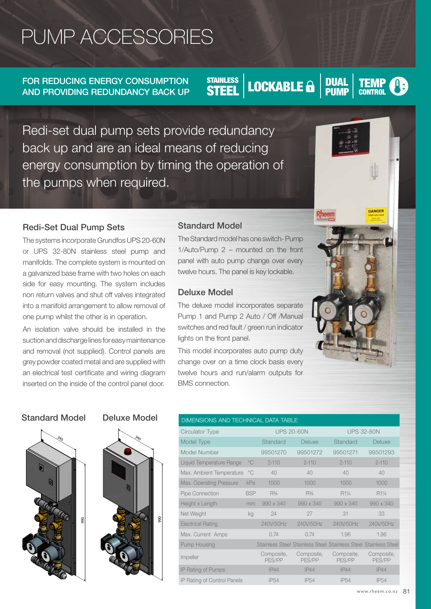# PUMP ACCESSORIES

FOR REDUCING ENERGY CONSUMPTION AND PROVIDING REDUNDANCY BACK UP **HEAT PUMP ELECTRIC SOLAR**

# STAINLESS **LOCKABLE & DUAL TEMP CONTROL**

Redi-set dual pump sets provide redundancy back up and are an ideal means of reducing energy consumption by timing the operation of the pumps when required. ndoar of redi **CHILL** 

## Redi-Set Dual Pump Sets

The systems incorporate Grundfos UPS 20-60N or UPS 32-80N stainless steel pump and manifolds. The complete system is mounted on a galvanized base frame with two holes on each side for easy mounting. The system includes non return valves and shut off valves integrated into a manifold arrangement to allow removal of one pump whilst the other is in operation.

An isolation valve should be installed in the suction and discharge lines for easy maintenance and removal (not supplied). Control panels are grey powder coated metal and are supplied with an electrical test certificate and wiring diagram inserted on the inside of the control panel door.

## Standard Model

The Standard model has one switch- Pump 1/Auto/Pump 2 – mounted on the front panel with auto pump change over every twelve hours. The panel is key lockable.

## Deluxe Model

The deluxe model incorporates separate Pump 1 and Pump 2 Auto / Off /Manual switches and red fault / green run indicator lights on the front panel.

This model incorporates auto pump duty change over on a time clock basis every twelve hours and run/alarm outputs for BMS connection.

### Standard Model Deluxe Model





### DIMENSIONS AND TECHNICAL DATA TABLE

| Circulator Type             |              | <b>UPS 20-60N</b>    |                      | <b>UPS 32-80N</b>                                               |                      |
|-----------------------------|--------------|----------------------|----------------------|-----------------------------------------------------------------|----------------------|
| Model Type                  |              | Standard             | Deluxe               | Standard                                                        | Deluxe               |
| Model Number                |              | 99501270             | 99501272             | 99501271                                                        | 99501293             |
| Liquid Temperature Range    | $^{\circ}$ C | $2 - 110$            | $2 - 110$            | $2 - 110$                                                       | $2 - 110$            |
| Max. Ambient Temperature    | $^{\circ}$ C | 40                   | 40                   | 40                                                              | 40                   |
| Max. Operating Pressure     | kPa          | 1000                 | 1000                 | 1000                                                            | 1000                 |
| <b>Pipe Connection</b>      | <b>BSP</b>   | $R\frac{3}{4}$       | $R^{3/4}$            | R11/4                                                           | R11/4                |
| Height x Length             | mm           | $990 \times 340$     | $990 \times 340$     | $990 \times 340$                                                | $990 \times 340$     |
| Net Weight                  | kg           | 24                   | 27                   | 31                                                              | 33                   |
| <b>Electrical Rating</b>    |              | 240V/50Hz            | 240V/50Hz            | 240V/50Hz                                                       | 240V/50Hz            |
| Max. Current Amps           |              | 0.74                 | 0.74                 | 1.96                                                            | 1.96                 |
| Pump Housing                |              |                      |                      | Stainless Steel Stainless Steel Stainless Steel Stainless Steel |                      |
| Impeller                    |              | Composite,<br>PES/PP | Composite,<br>PES/PP | Composite,<br>PES/PP                                            | Composite,<br>PES/PP |
| IP Rating of Pumps          |              | IP44                 | IP44                 | IP44                                                            | IP44                 |
| IP Rating of Control Panels |              | <b>IP54</b>          | <b>IP54</b>          | <b>IP54</b>                                                     | <b>IP54</b>          |

**TEMP** 

DANGER

Hotel Bank<br>Hotel Bank<br>Hotel Bank **Colombia** 

Rheem